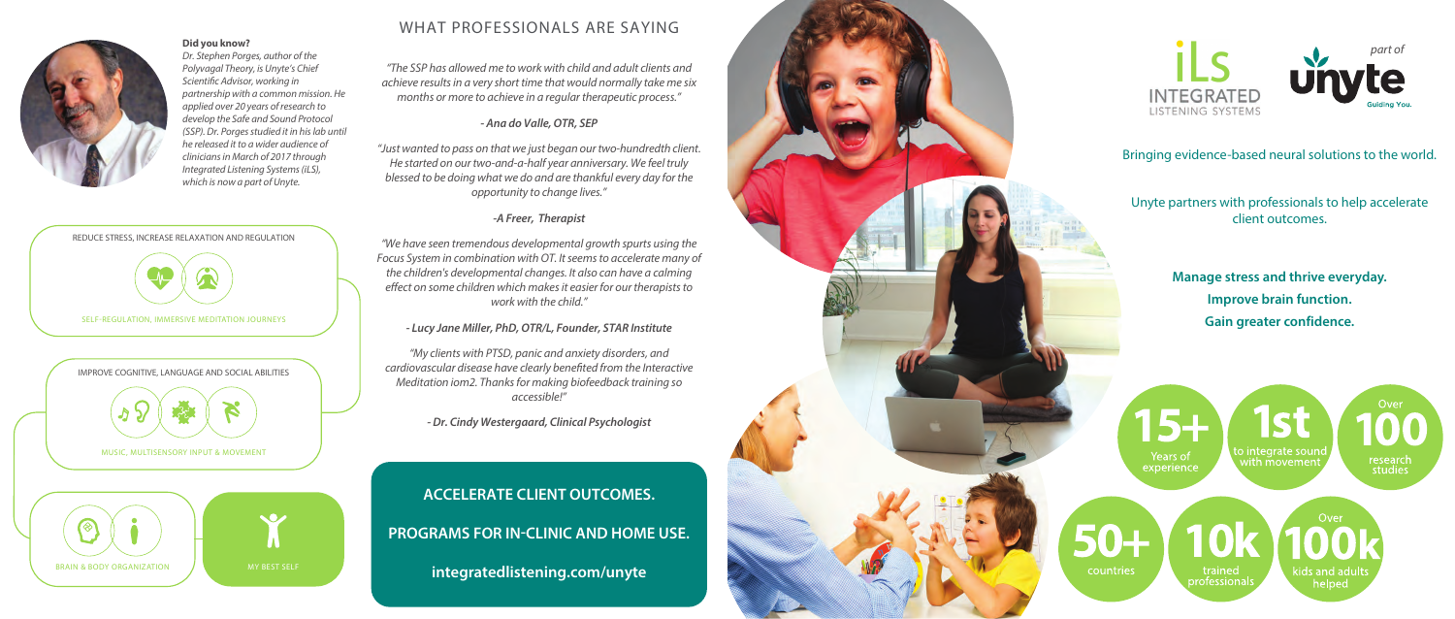

*Dr. Stephen Porges, author of the Polyvagal Theory, is Unyte's Chief Scientic Advisor, working in partnership with a common mission. He applied over 20 years of research to develop the Safe and Sound Protocol (SSP). Dr. Porges studied it in his lab until he released it to a wider audience of clinicians in March of 2017 through Integrated Listening Systems (iLS), which is now a part of Unyte.*

*"The SSP has allowed me to work with child and adult clients and achieve results in a very short time that would normally take me six months or more to achieve in a regular therapeutic process."*

### *- Ana do Valle, OTR, SEP*

*"Just wanted to pass on that we just began our two-hundredth client. He started on our two-and-a-half year anniversary. We feel truly blessed to be doing what we do and are thankful every day for the opportunity to change lives."*

### *-A Freer, Therapist*

*"We have seen tremendous developmental growth spurts using the Focus System in combination with OT. It seems to accelerate many of the children's developmental changes. It also can have a calming*  effect on some children which makes it easier for our therapists to *work with the child."*

*- Lucy Jane Miller, PhD, OTR/L, Founder, STAR Institute*

*"My clients with PTSD, panic and anxiety disorders, and*  cardiovascular disease have clearly benefited from the Interactive *Meditation iom2. Thanks for making biofeedback training so accessible!"*

*- Dr. Cindy Westergaard, Clinical Psychologist*

## WHAT PROFESSIONALS ARE SAYING

# **ACCELERATE CLIENT OUTCOMES. PROGRAMS FOR IN-CLINIC AND HOME USE. integratedlistening.com/unyte**

**pid you know?**<br>Dr. Staphen Poraes author of the part of





Bringing evidence-based neural solutions to the world.

Unyte partners with professionals to help accelerate client outcomes.

> Manage stress and thrive everyday. **Improve brain function. Gain greater confidence.**

 $5 +$ Years of experience

countries

o integrate sounc with m̃ovemen

research<br>studies